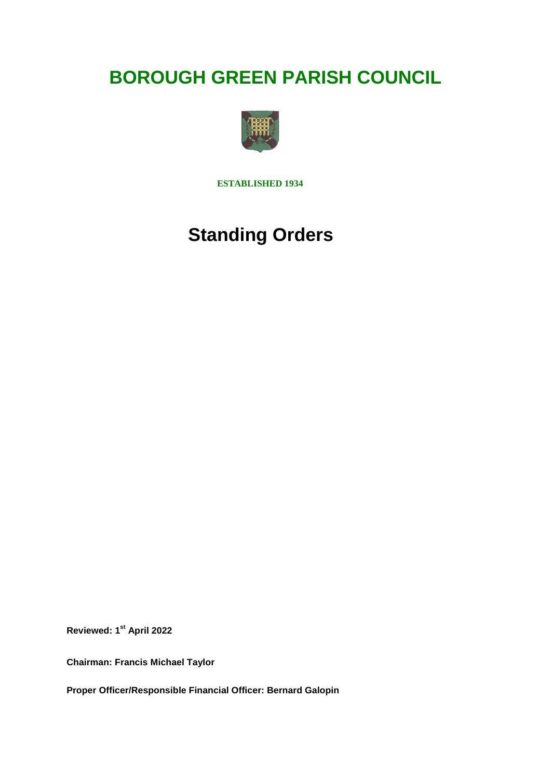# **BOROUGH GREEN PARISH COUNCIL**



**ESTABLISHED 1934**

# **Standing Orders**

**Reviewed: 1st April 2022**

**Chairman: Francis Michael Taylor**

**Proper Officer/Responsible Financial Officer: Bernard Galopin**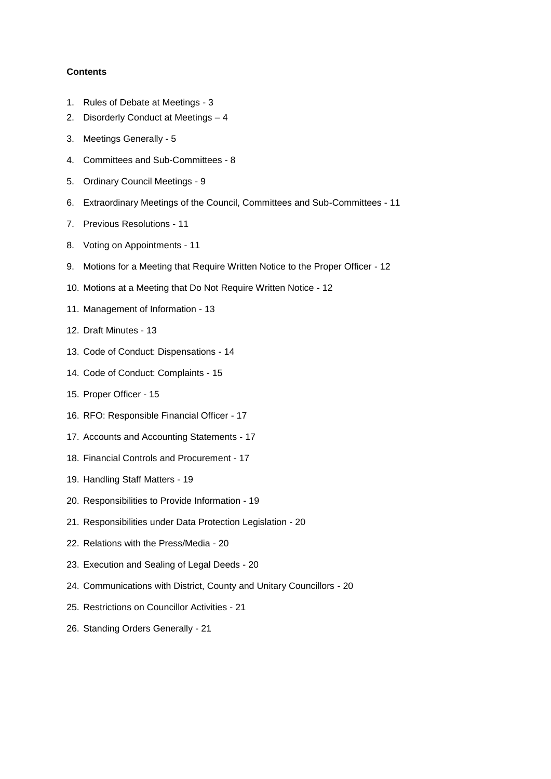## **Contents**

- 1. Rules of Debate at Meetings 3
- 2. Disorderly Conduct at Meetings 4
- 3. Meetings Generally 5
- 4. Committees and Sub-Committees 8
- 5. Ordinary Council Meetings 9
- 6. Extraordinary Meetings of the Council, Committees and Sub-Committees 11
- 7. Previous Resolutions 11
- 8. Voting on Appointments 11
- 9. Motions for a Meeting that Require Written Notice to the Proper Officer 12
- 10. Motions at a Meeting that Do Not Require Written Notice 12
- 11. Management of Information 13
- 12. Draft Minutes 13
- 13. Code of Conduct: Dispensations 14
- 14. Code of Conduct: Complaints 15
- 15. Proper Officer 15
- 16. RFO: Responsible Financial Officer 17
- 17. Accounts and Accounting Statements 17
- 18. Financial Controls and Procurement 17
- 19. Handling Staff Matters 19
- 20. Responsibilities to Provide Information 19
- 21. Responsibilities under Data Protection Legislation 20
- 22. Relations with the Press/Media 20
- 23. Execution and Sealing of Legal Deeds 20
- 24. Communications with District, County and Unitary Councillors 20
- 25. Restrictions on Councillor Activities 21
- 26. Standing Orders Generally 21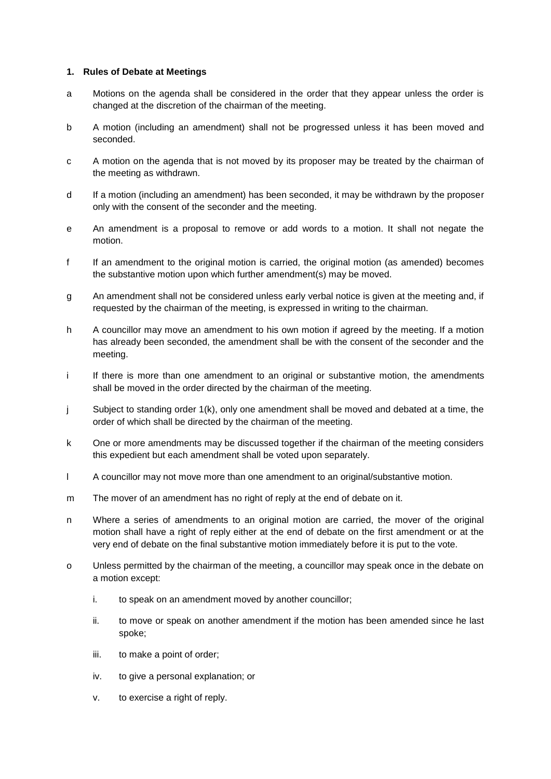## **1. Rules of Debate at Meetings**

- a Motions on the agenda shall be considered in the order that they appear unless the order is changed at the discretion of the chairman of the meeting.
- b A motion (including an amendment) shall not be progressed unless it has been moved and seconded.
- c A motion on the agenda that is not moved by its proposer may be treated by the chairman of the meeting as withdrawn.
- d If a motion (including an amendment) has been seconded, it may be withdrawn by the proposer only with the consent of the seconder and the meeting.
- e An amendment is a proposal to remove or add words to a motion. It shall not negate the motion.
- f If an amendment to the original motion is carried, the original motion (as amended) becomes the substantive motion upon which further amendment(s) may be moved.
- g An amendment shall not be considered unless early verbal notice is given at the meeting and, if requested by the chairman of the meeting, is expressed in writing to the chairman.
- h A councillor may move an amendment to his own motion if agreed by the meeting. If a motion has already been seconded, the amendment shall be with the consent of the seconder and the meeting.
- i If there is more than one amendment to an original or substantive motion, the amendments shall be moved in the order directed by the chairman of the meeting.
- j Subject to standing order 1(k), only one amendment shall be moved and debated at a time, the order of which shall be directed by the chairman of the meeting.
- k One or more amendments may be discussed together if the chairman of the meeting considers this expedient but each amendment shall be voted upon separately.
- l A councillor may not move more than one amendment to an original/substantive motion.
- m The mover of an amendment has no right of reply at the end of debate on it.
- n Where a series of amendments to an original motion are carried, the mover of the original motion shall have a right of reply either at the end of debate on the first amendment or at the very end of debate on the final substantive motion immediately before it is put to the vote.
- o Unless permitted by the chairman of the meeting, a councillor may speak once in the debate on a motion except:
	- i. to speak on an amendment moved by another councillor;
	- ii. to move or speak on another amendment if the motion has been amended since he last spoke;
	- iii. to make a point of order;
	- iv. to give a personal explanation; or
	- v. to exercise a right of reply.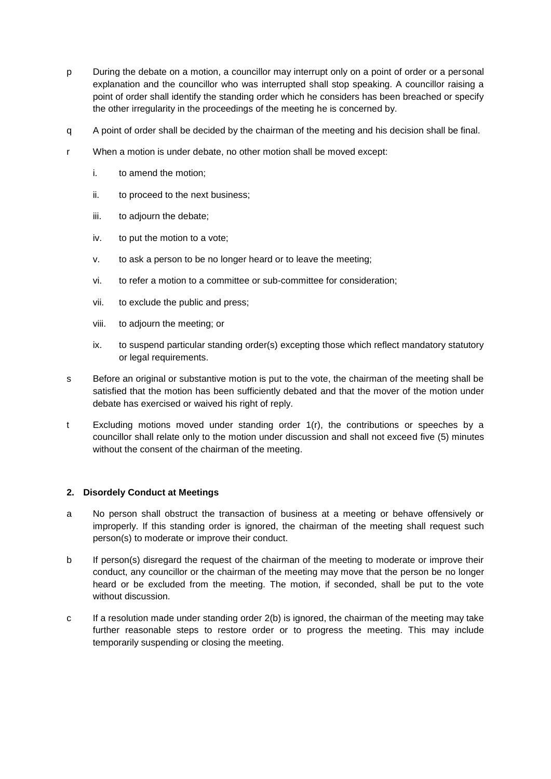- p During the debate on a motion, a councillor may interrupt only on a point of order or a personal explanation and the councillor who was interrupted shall stop speaking. A councillor raising a point of order shall identify the standing order which he considers has been breached or specify the other irregularity in the proceedings of the meeting he is concerned by.
- q A point of order shall be decided by the chairman of the meeting and his decision shall be final.
- r When a motion is under debate, no other motion shall be moved except:
	- i. to amend the motion;
	- ii. to proceed to the next business;
	- iii. to adjourn the debate;
	- iv. to put the motion to a vote;
	- v. to ask a person to be no longer heard or to leave the meeting;
	- vi. to refer a motion to a committee or sub-committee for consideration;
	- vii. to exclude the public and press;
	- viii. to adjourn the meeting; or
	- ix. to suspend particular standing order(s) excepting those which reflect mandatory statutory or legal requirements.
- s Before an original or substantive motion is put to the vote, the chairman of the meeting shall be satisfied that the motion has been sufficiently debated and that the mover of the motion under debate has exercised or waived his right of reply.
- t Excluding motions moved under standing order 1(r), the contributions or speeches by a councillor shall relate only to the motion under discussion and shall not exceed five (5) minutes without the consent of the chairman of the meeting.

#### **2. Disordely Conduct at Meetings**

- a No person shall obstruct the transaction of business at a meeting or behave offensively or improperly. If this standing order is ignored, the chairman of the meeting shall request such person(s) to moderate or improve their conduct.
- b If person(s) disregard the request of the chairman of the meeting to moderate or improve their conduct, any councillor or the chairman of the meeting may move that the person be no longer heard or be excluded from the meeting. The motion, if seconded, shall be put to the vote without discussion.
- c If a resolution made under standing order 2(b) is ignored, the chairman of the meeting may take further reasonable steps to restore order or to progress the meeting. This may include temporarily suspending or closing the meeting.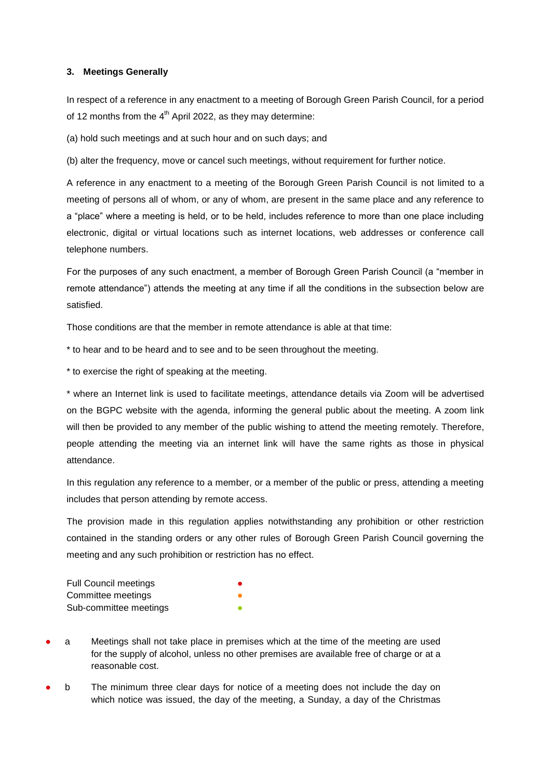## **3. Meetings Generally**

In respect of a reference in any enactment to a meeting of Borough Green Parish Council, for a period of 12 months from the  $4<sup>th</sup>$  April 2022, as they may determine:

(a) hold such meetings and at such hour and on such days; and

(b) alter the frequency, move or cancel such meetings, without requirement for further notice.

A reference in any enactment to a meeting of the Borough Green Parish Council is not limited to a meeting of persons all of whom, or any of whom, are present in the same place and any reference to a "place" where a meeting is held, or to be held, includes reference to more than one place including electronic, digital or virtual locations such as internet locations, web addresses or conference call telephone numbers.

For the purposes of any such enactment, a member of Borough Green Parish Council (a "member in remote attendance") attends the meeting at any time if all the conditions in the subsection below are satisfied.

Those conditions are that the member in remote attendance is able at that time:

\* to hear and to be heard and to see and to be seen throughout the meeting.

\* to exercise the right of speaking at the meeting.

\* where an Internet link is used to facilitate meetings, attendance details via Zoom will be advertised on the BGPC website with the agenda, informing the general public about the meeting. A zoom link will then be provided to any member of the public wishing to attend the meeting remotely. Therefore, people attending the meeting via an internet link will have the same rights as those in physical attendance.

In this regulation any reference to a member, or a member of the public or press, attending a meeting includes that person attending by remote access.

The provision made in this regulation applies notwithstanding any prohibition or other restriction contained in the standing orders or any other rules of Borough Green Parish Council governing the meeting and any such prohibition or restriction has no effect.

| <b>Full Council meetings</b> | $\bullet$ |
|------------------------------|-----------|
| Committee meetings           |           |
| Sub-committee meetings       | Ο         |

a Meetings shall not take place in premises which at the time of the meeting are used for the supply of alcohol, unless no other premises are available free of charge or at a reasonable cost.

b The minimum three clear days for notice of a meeting does not include the day on which notice was issued, the day of the meeting, a Sunday, a day of the Christmas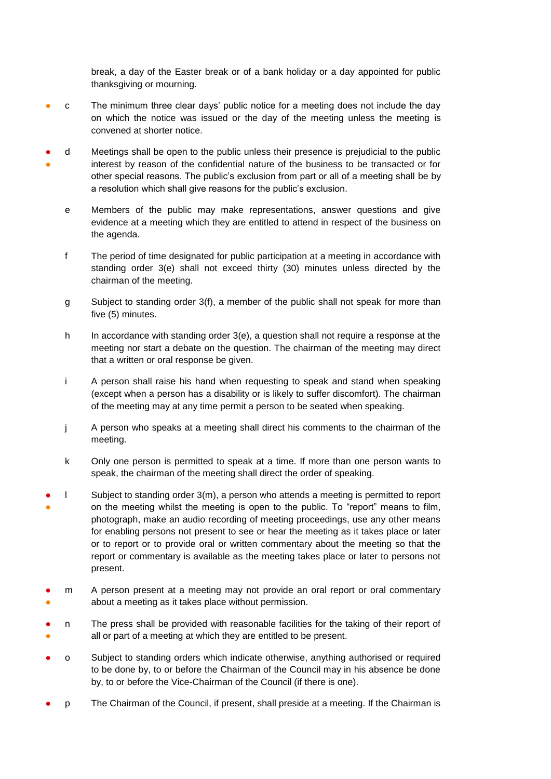break, a day of the Easter break or of a bank holiday or a day appointed for public thanksgiving or mourning.

- c The minimum three clear days' public notice for a meeting does not include the day on which the notice was issued or the day of the meeting unless the meeting is convened at shorter notice.
- ● d Meetings shall be open to the public unless their presence is prejudicial to the public interest by reason of the confidential nature of the business to be transacted or for other special reasons. The public's exclusion from part or all of a meeting shall be by a resolution which shall give reasons for the public's exclusion.
	- e Members of the public may make representations, answer questions and give evidence at a meeting which they are entitled to attend in respect of the business on the agenda.
	- f The period of time designated for public participation at a meeting in accordance with standing order 3(e) shall not exceed thirty (30) minutes unless directed by the chairman of the meeting.
	- g Subject to standing order 3(f), a member of the public shall not speak for more than five (5) minutes.
	- h In accordance with standing order 3(e), a question shall not require a response at the meeting nor start a debate on the question. The chairman of the meeting may direct that a written or oral response be given.
	- i A person shall raise his hand when requesting to speak and stand when speaking (except when a person has a disability or is likely to suffer discomfort). The chairman of the meeting may at any time permit a person to be seated when speaking.
	- j A person who speaks at a meeting shall direct his comments to the chairman of the meeting.
	- k Only one person is permitted to speak at a time. If more than one person wants to speak, the chairman of the meeting shall direct the order of speaking.
- ● l Subject to standing order 3(m), a person who attends a meeting is permitted to report on the meeting whilst the meeting is open to the public. To "report" means to film, photograph, make an audio recording of meeting proceedings, use any other means for enabling persons not present to see or hear the meeting as it takes place or later or to report or to provide oral or written commentary about the meeting so that the report or commentary is available as the meeting takes place or later to persons not present.
- ● m A person present at a meeting may not provide an oral report or oral commentary about a meeting as it takes place without permission.
- ● n The press shall be provided with reasonable facilities for the taking of their report of all or part of a meeting at which they are entitled to be present.
- o Subject to standing orders which indicate otherwise, anything authorised or required to be done by, to or before the Chairman of the Council may in his absence be done by, to or before the Vice-Chairman of the Council (if there is one).
- p The Chairman of the Council, if present, shall preside at a meeting. If the Chairman is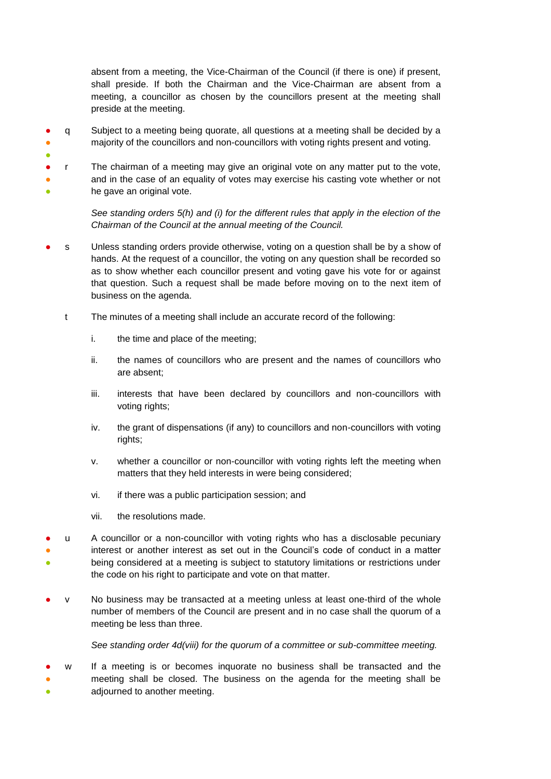absent from a meeting, the Vice-Chairman of the Council (if there is one) if present, shall preside. If both the Chairman and the Vice-Chairman are absent from a meeting, a councillor as chosen by the councillors present at the meeting shall preside at the meeting.

- ● q Subject to a meeting being quorate, all questions at a meeting shall be decided by a majority of the councillors and non-councillors with voting rights present and voting.
- ● ● ● r The chairman of a meeting may give an original vote on any matter put to the vote, and in the case of an equality of votes may exercise his casting vote whether or not he gave an original vote.

*See standing orders 5(h) and (i) for the different rules that apply in the election of the Chairman of the Council at the annual meeting of the Council.*

- s Unless standing orders provide otherwise, voting on a question shall be by a show of hands. At the request of a councillor, the voting on any question shall be recorded so as to show whether each councillor present and voting gave his vote for or against that question. Such a request shall be made before moving on to the next item of business on the agenda.
	- t The minutes of a meeting shall include an accurate record of the following:
		- i. the time and place of the meeting;
		- ii. the names of councillors who are present and the names of councillors who are absent;
		- iii. interests that have been declared by councillors and non-councillors with voting rights;
		- iv. the grant of dispensations (if any) to councillors and non-councillors with voting rights;
		- v. whether a councillor or non-councillor with voting rights left the meeting when matters that they held interests in were being considered;
		- vi. if there was a public participation session; and
		- vii. the resolutions made.
- ● ● u A councillor or a non-councillor with voting rights who has a disclosable pecuniary interest or another interest as set out in the Council's code of conduct in a matter being considered at a meeting is subject to statutory limitations or restrictions under the code on his right to participate and vote on that matter.
- v No business may be transacted at a meeting unless at least one-third of the whole number of members of the Council are present and in no case shall the quorum of a meeting be less than three.

*See standing order 4d(viii) for the quorum of a committee or sub-committee meeting.* 

● ● ● w If a meeting is or becomes inquorate no business shall be transacted and the meeting shall be closed. The business on the agenda for the meeting shall be adjourned to another meeting.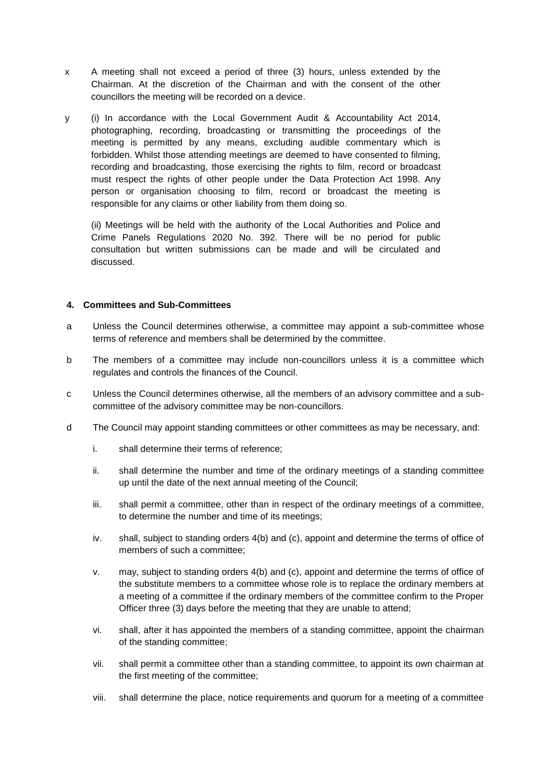- x A meeting shall not exceed a period of three (3) hours, unless extended by the Chairman. At the discretion of the Chairman and with the consent of the other councillors the meeting will be recorded on a device.
- y (i) In accordance with the Local Government Audit & Accountability Act 2014, photographing, recording, broadcasting or transmitting the proceedings of the meeting is permitted by any means, excluding audible commentary which is forbidden. Whilst those attending meetings are deemed to have consented to filming, recording and broadcasting, those exercising the rights to film, record or broadcast must respect the rights of other people under the Data Protection Act 1998. Any person or organisation choosing to film, record or broadcast the meeting is responsible for any claims or other liability from them doing so.

(ii) Meetings will be held with the authority of the Local Authorities and Police and Crime Panels Regulations 2020 No. 392. There will be no period for public consultation but written submissions can be made and will be circulated and discussed.

## **4. Committees and Sub-Committees**

- a Unless the Council determines otherwise, a committee may appoint a sub-committee whose terms of reference and members shall be determined by the committee.
- b The members of a committee may include non-councillors unless it is a committee which regulates and controls the finances of the Council.
- c Unless the Council determines otherwise, all the members of an advisory committee and a subcommittee of the advisory committee may be non-councillors.
- d The Council may appoint standing committees or other committees as may be necessary, and:
	- i. shall determine their terms of reference;
	- ii. shall determine the number and time of the ordinary meetings of a standing committee up until the date of the next annual meeting of the Council;
	- iii. shall permit a committee, other than in respect of the ordinary meetings of a committee, to determine the number and time of its meetings;
	- iv. shall, subject to standing orders 4(b) and (c), appoint and determine the terms of office of members of such a committee;
	- v. may, subject to standing orders 4(b) and (c), appoint and determine the terms of office of the substitute members to a committee whose role is to replace the ordinary members at a meeting of a committee if the ordinary members of the committee confirm to the Proper Officer three (3) days before the meeting that they are unable to attend;
	- vi. shall, after it has appointed the members of a standing committee, appoint the chairman of the standing committee;
	- vii. shall permit a committee other than a standing committee, to appoint its own chairman at the first meeting of the committee;
	- viii. shall determine the place, notice requirements and quorum for a meeting of a committee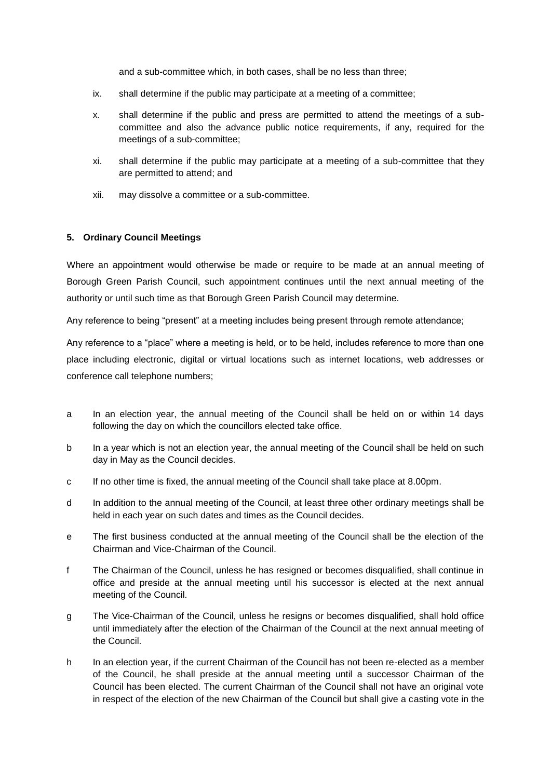and a sub-committee which, in both cases, shall be no less than three;

- ix. shall determine if the public may participate at a meeting of a committee;
- x. shall determine if the public and press are permitted to attend the meetings of a subcommittee and also the advance public notice requirements, if any, required for the meetings of a sub-committee;
- xi. shall determine if the public may participate at a meeting of a sub-committee that they are permitted to attend; and
- xii. may dissolve a committee or a sub-committee.

# **5. Ordinary Council Meetings**

Where an appointment would otherwise be made or require to be made at an annual meeting of Borough Green Parish Council, such appointment continues until the next annual meeting of the authority or until such time as that Borough Green Parish Council may determine.

Any reference to being "present" at a meeting includes being present through remote attendance;

Any reference to a "place" where a meeting is held, or to be held, includes reference to more than one place including electronic, digital or virtual locations such as internet locations, web addresses or conference call telephone numbers;

- a In an election year, the annual meeting of the Council shall be held on or within 14 days following the day on which the councillors elected take office.
- b In a year which is not an election year, the annual meeting of the Council shall be held on such day in May as the Council decides.
- c If no other time is fixed, the annual meeting of the Council shall take place at 8.00pm.
- d In addition to the annual meeting of the Council, at least three other ordinary meetings shall be held in each year on such dates and times as the Council decides.
- e The first business conducted at the annual meeting of the Council shall be the election of the Chairman and Vice-Chairman of the Council.
- f The Chairman of the Council, unless he has resigned or becomes disqualified, shall continue in office and preside at the annual meeting until his successor is elected at the next annual meeting of the Council.
- g The Vice-Chairman of the Council, unless he resigns or becomes disqualified, shall hold office until immediately after the election of the Chairman of the Council at the next annual meeting of the Council.
- h In an election year, if the current Chairman of the Council has not been re-elected as a member of the Council, he shall preside at the annual meeting until a successor Chairman of the Council has been elected. The current Chairman of the Council shall not have an original vote in respect of the election of the new Chairman of the Council but shall give a casting vote in the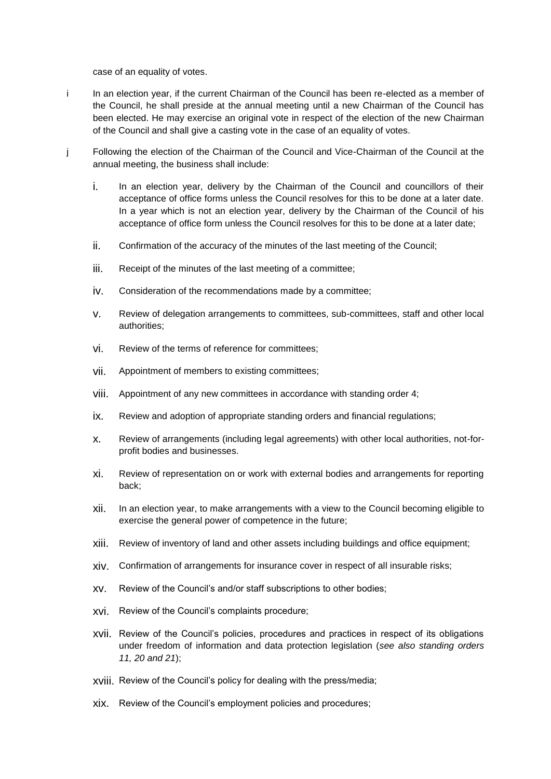case of an equality of votes.

- i In an election year, if the current Chairman of the Council has been re-elected as a member of the Council, he shall preside at the annual meeting until a new Chairman of the Council has been elected. He may exercise an original vote in respect of the election of the new Chairman of the Council and shall give a casting vote in the case of an equality of votes.
- j Following the election of the Chairman of the Council and Vice-Chairman of the Council at the annual meeting, the business shall include:
	- i. In an election year, delivery by the Chairman of the Council and councillors of their acceptance of office forms unless the Council resolves for this to be done at a later date. In a year which is not an election year, delivery by the Chairman of the Council of his acceptance of office form unless the Council resolves for this to be done at a later date;
	- ii. Confirmation of the accuracy of the minutes of the last meeting of the Council;
	- iii. Receipt of the minutes of the last meeting of a committee;
	- iv. Consideration of the recommendations made by a committee;
	- v. Review of delegation arrangements to committees, sub-committees, staff and other local authorities;
	- vi. Review of the terms of reference for committees;
	- vii. Appointment of members to existing committees;
	- viii. Appointment of any new committees in accordance with standing order 4;
	- ix. Review and adoption of appropriate standing orders and financial regulations;
	- x. Review of arrangements (including legal agreements) with other local authorities, not-forprofit bodies and businesses.
	- xi. Review of representation on or work with external bodies and arrangements for reporting back;
	- xii. In an election year, to make arrangements with a view to the Council becoming eligible to exercise the general power of competence in the future;
	- xiii. Review of inventory of land and other assets including buildings and office equipment;
	- xiv. Confirmation of arrangements for insurance cover in respect of all insurable risks;
	- xv. Review of the Council's and/or staff subscriptions to other bodies;
	- xvi. Review of the Council's complaints procedure;
	- xvii. Review of the Council's policies, procedures and practices in respect of its obligations under freedom of information and data protection legislation (*see also standing orders 11, 20 and 21*);
	- xviii. Review of the Council's policy for dealing with the press/media;
	- xix. Review of the Council's employment policies and procedures;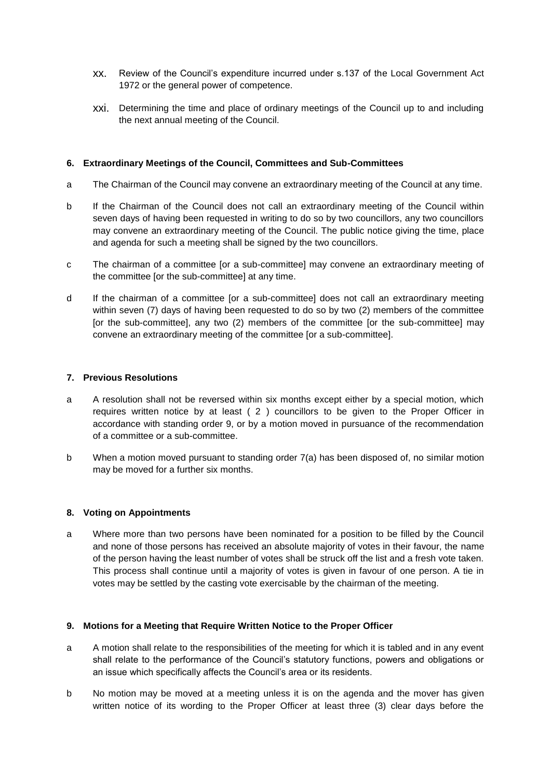- xx. Review of the Council's expenditure incurred under s.137 of the Local Government Act 1972 or the general power of competence.
- xxi. Determining the time and place of ordinary meetings of the Council up to and including the next annual meeting of the Council.

# **6. Extraordinary Meetings of the Council, Committees and Sub-Committees**

- a The Chairman of the Council may convene an extraordinary meeting of the Council at any time.
- b If the Chairman of the Council does not call an extraordinary meeting of the Council within seven days of having been requested in writing to do so by two councillors, any two councillors may convene an extraordinary meeting of the Council. The public notice giving the time, place and agenda for such a meeting shall be signed by the two councillors.
- c The chairman of a committee [or a sub-committee] may convene an extraordinary meeting of the committee [or the sub-committee] at any time.
- d If the chairman of a committee [or a sub-committee] does not call an extraordinary meeting within seven (7) days of having been requested to do so by two (2) members of the committee [or the sub-committee], any two (2) members of the committee [or the sub-committee] may convene an extraordinary meeting of the committee [or a sub-committee].

#### **7. Previous Resolutions**

- a A resolution shall not be reversed within six months except either by a special motion, which requires written notice by at least ( 2 ) councillors to be given to the Proper Officer in accordance with standing order 9, or by a motion moved in pursuance of the recommendation of a committee or a sub-committee.
- b When a motion moved pursuant to standing order 7(a) has been disposed of, no similar motion may be moved for a further six months.

#### **8. Voting on Appointments**

a Where more than two persons have been nominated for a position to be filled by the Council and none of those persons has received an absolute majority of votes in their favour, the name of the person having the least number of votes shall be struck off the list and a fresh vote taken. This process shall continue until a majority of votes is given in favour of one person. A tie in votes may be settled by the casting vote exercisable by the chairman of the meeting.

#### **9. Motions for a Meeting that Require Written Notice to the Proper Officer**

- a A motion shall relate to the responsibilities of the meeting for which it is tabled and in any event shall relate to the performance of the Council's statutory functions, powers and obligations or an issue which specifically affects the Council's area or its residents.
- b No motion may be moved at a meeting unless it is on the agenda and the mover has given written notice of its wording to the Proper Officer at least three (3) clear days before the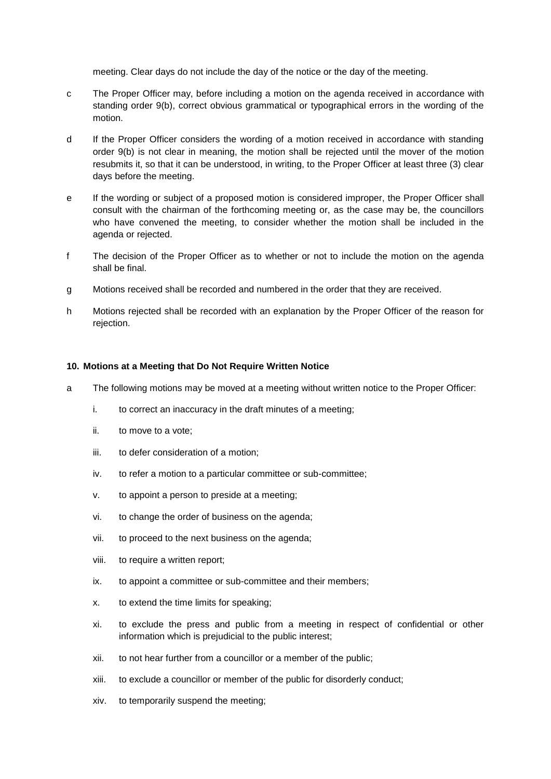meeting. Clear days do not include the day of the notice or the day of the meeting.

- c The Proper Officer may, before including a motion on the agenda received in accordance with standing order 9(b), correct obvious grammatical or typographical errors in the wording of the motion.
- d If the Proper Officer considers the wording of a motion received in accordance with standing order 9(b) is not clear in meaning, the motion shall be rejected until the mover of the motion resubmits it, so that it can be understood, in writing, to the Proper Officer at least three (3) clear days before the meeting.
- e If the wording or subject of a proposed motion is considered improper, the Proper Officer shall consult with the chairman of the forthcoming meeting or, as the case may be, the councillors who have convened the meeting, to consider whether the motion shall be included in the agenda or rejected.
- f The decision of the Proper Officer as to whether or not to include the motion on the agenda shall be final.
- g Motions received shall be recorded and numbered in the order that they are received.
- h Motions rejected shall be recorded with an explanation by the Proper Officer of the reason for rejection.

## **10. Motions at a Meeting that Do Not Require Written Notice**

- a The following motions may be moved at a meeting without written notice to the Proper Officer:
	- i. to correct an inaccuracy in the draft minutes of a meeting;
	- ii. to move to a vote;
	- iii. to defer consideration of a motion;
	- iv. to refer a motion to a particular committee or sub-committee;
	- v. to appoint a person to preside at a meeting;
	- vi. to change the order of business on the agenda;
	- vii. to proceed to the next business on the agenda;
	- viii. to require a written report;
	- ix. to appoint a committee or sub-committee and their members;
	- x. to extend the time limits for speaking;
	- xi. to exclude the press and public from a meeting in respect of confidential or other information which is prejudicial to the public interest;
	- xii. to not hear further from a councillor or a member of the public;
	- xiii. to exclude a councillor or member of the public for disorderly conduct;
	- xiv. to temporarily suspend the meeting;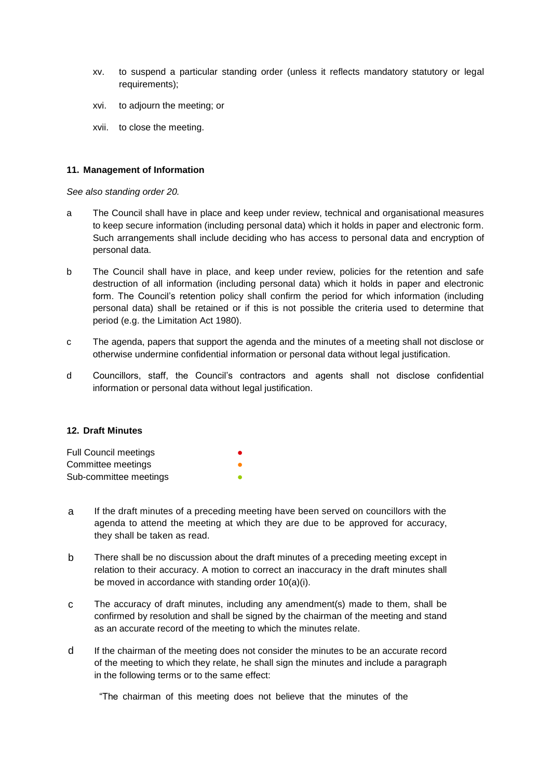- xv. to suspend a particular standing order (unless it reflects mandatory statutory or legal requirements);
- xvi. to adjourn the meeting; or
- xvii. to close the meeting.

## **11. Management of Information**

*See also standing order 20.*

- a The Council shall have in place and keep under review, technical and organisational measures to keep secure information (including personal data) which it holds in paper and electronic form. Such arrangements shall include deciding who has access to personal data and encryption of personal data.
- b The Council shall have in place, and keep under review, policies for the retention and safe destruction of all information (including personal data) which it holds in paper and electronic form. The Council's retention policy shall confirm the period for which information (including personal data) shall be retained or if this is not possible the criteria used to determine that period (e.g. the Limitation Act 1980).
- c The agenda, papers that support the agenda and the minutes of a meeting shall not disclose or otherwise undermine confidential information or personal data without legal justification.
- d Councillors, staff, the Council's contractors and agents shall not disclose confidential information or personal data without legal justification.

#### **12. Draft Minutes**

| <b>Full Council meetings</b> | ● |
|------------------------------|---|
| Committee meetings           | ● |
| Sub-committee meetings       | ● |

- a If the draft minutes of a preceding meeting have been served on councillors with the agenda to attend the meeting at which they are due to be approved for accuracy, they shall be taken as read.
- b There shall be no discussion about the draft minutes of a preceding meeting except in relation to their accuracy. A motion to correct an inaccuracy in the draft minutes shall be moved in accordance with standing order 10(a)(i).
- c The accuracy of draft minutes, including any amendment(s) made to them, shall be confirmed by resolution and shall be signed by the chairman of the meeting and stand as an accurate record of the meeting to which the minutes relate.
- d If the chairman of the meeting does not consider the minutes to be an accurate record of the meeting to which they relate, he shall sign the minutes and include a paragraph in the following terms or to the same effect:

"The chairman of this meeting does not believe that the minutes of the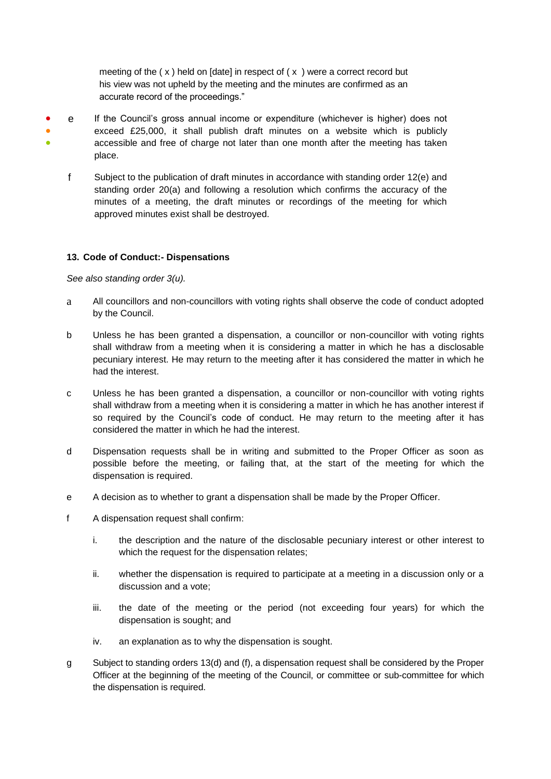meeting of the  $(x)$  held on [date] in respect of  $(x)$  were a correct record but his view was not upheld by the meeting and the minutes are confirmed as an accurate record of the proceedings."

- ● ● e If the Council's gross annual income or expenditure (whichever is higher) does not exceed £25,000, it shall publish draft minutes on a website which is publicly accessible and free of charge not later than one month after the meeting has taken place.
	- f Subject to the publication of draft minutes in accordance with standing order 12(e) and standing order 20(a) and following a resolution which confirms the accuracy of the minutes of a meeting, the draft minutes or recordings of the meeting for which approved minutes exist shall be destroyed.

## **13. Code of Conduct:- Dispensations**

*See also standing order 3(u).* 

- a All councillors and non-councillors with voting rights shall observe the code of conduct adopted by the Council.
- b Unless he has been granted a dispensation, a councillor or non-councillor with voting rights shall withdraw from a meeting when it is considering a matter in which he has a disclosable pecuniary interest. He may return to the meeting after it has considered the matter in which he had the interest.
- c Unless he has been granted a dispensation, a councillor or non-councillor with voting rights shall withdraw from a meeting when it is considering a matter in which he has another interest if so required by the Council's code of conduct. He may return to the meeting after it has considered the matter in which he had the interest.
- d Dispensation requests shall be in writing and submitted to the Proper Officer as soon as possible before the meeting, or failing that, at the start of the meeting for which the dispensation is required.
- e A decision as to whether to grant a dispensation shall be made by the Proper Officer.
- f A dispensation request shall confirm:
	- i. the description and the nature of the disclosable pecuniary interest or other interest to which the request for the dispensation relates;
	- ii. whether the dispensation is required to participate at a meeting in a discussion only or a discussion and a vote;
	- iii. the date of the meeting or the period (not exceeding four years) for which the dispensation is sought; and
	- iv. an explanation as to why the dispensation is sought.
- g Subject to standing orders 13(d) and (f), a dispensation request shall be considered by the Proper Officer at the beginning of the meeting of the Council, or committee or sub-committee for which the dispensation is required.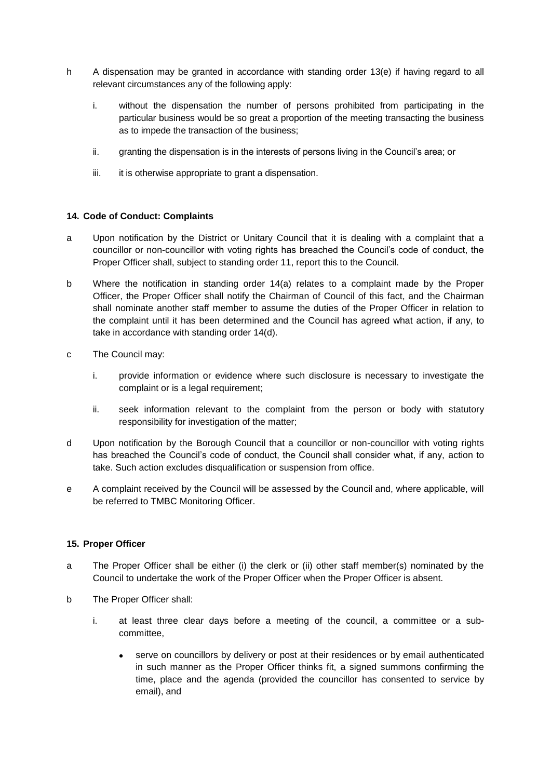- h A dispensation may be granted in accordance with standing order 13(e) if having regard to all relevant circumstances any of the following apply:
	- i. without the dispensation the number of persons prohibited from participating in the particular business would be so great a proportion of the meeting transacting the business as to impede the transaction of the business;
	- ii. granting the dispensation is in the interests of persons living in the Council's area; or
	- iii. it is otherwise appropriate to grant a dispensation.

# **14. Code of Conduct: Complaints**

- a Upon notification by the District or Unitary Council that it is dealing with a complaint that a councillor or non-councillor with voting rights has breached the Council's code of conduct, the Proper Officer shall, subject to standing order 11, report this to the Council.
- b Where the notification in standing order 14(a) relates to a complaint made by the Proper Officer, the Proper Officer shall notify the Chairman of Council of this fact, and the Chairman shall nominate another staff member to assume the duties of the Proper Officer in relation to the complaint until it has been determined and the Council has agreed what action, if any, to take in accordance with standing order 14(d).
- c The Council may:
	- i. provide information or evidence where such disclosure is necessary to investigate the complaint or is a legal requirement;
	- ii. seek information relevant to the complaint from the person or body with statutory responsibility for investigation of the matter;
- d Upon notification by the Borough Council that a councillor or non-councillor with voting rights has breached the Council's code of conduct, the Council shall consider what, if any, action to take. Such action excludes disqualification or suspension from office.
- e A complaint received by the Council will be assessed by the Council and, where applicable, will be referred to TMBC Monitoring Officer.

#### **15. Proper Officer**

- a The Proper Officer shall be either (i) the clerk or (ii) other staff member(s) nominated by the Council to undertake the work of the Proper Officer when the Proper Officer is absent.
- b The Proper Officer shall:
	- i. at least three clear days before a meeting of the council, a committee or a subcommittee,
		- serve on councillors by delivery or post at their residences or by email authenticated in such manner as the Proper Officer thinks fit, a signed summons confirming the time, place and the agenda (provided the councillor has consented to service by email), and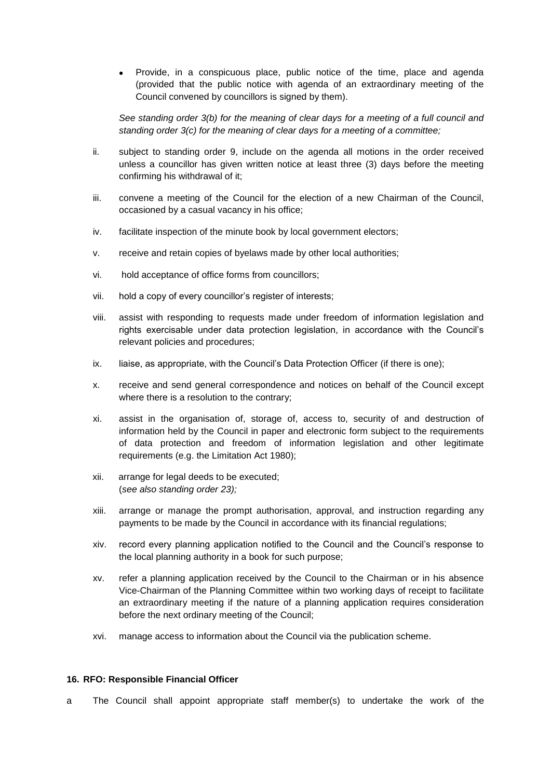Provide, in a conspicuous place, public notice of the time, place and agenda (provided that the public notice with agenda of an extraordinary meeting of the Council convened by councillors is signed by them).

*See standing order 3(b) for the meaning of clear days for a meeting of a full council and standing order 3(c) for the meaning of clear days for a meeting of a committee;*

- ii. subject to standing order 9, include on the agenda all motions in the order received unless a councillor has given written notice at least three (3) days before the meeting confirming his withdrawal of it;
- iii. convene a meeting of the Council for the election of a new Chairman of the Council, occasioned by a casual vacancy in his office;
- iv. facilitate inspection of the minute book by local government electors;
- v. receive and retain copies of byelaws made by other local authorities;
- vi. hold acceptance of office forms from councillors;
- vii. hold a copy of every councillor's register of interests;
- viii. assist with responding to requests made under freedom of information legislation and rights exercisable under data protection legislation, in accordance with the Council's relevant policies and procedures;
- ix. liaise, as appropriate, with the Council's Data Protection Officer (if there is one);
- x. receive and send general correspondence and notices on behalf of the Council except where there is a resolution to the contrary;
- xi. assist in the organisation of, storage of, access to, security of and destruction of information held by the Council in paper and electronic form subject to the requirements of data protection and freedom of information legislation and other legitimate requirements (e.g. the Limitation Act 1980);
- xii. arrange for legal deeds to be executed; (*see also standing order 23);*
- xiii. arrange or manage the prompt authorisation, approval, and instruction regarding any payments to be made by the Council in accordance with its financial regulations;
- xiv. record every planning application notified to the Council and the Council's response to the local planning authority in a book for such purpose;
- xv. refer a planning application received by the Council to the Chairman or in his absence Vice-Chairman of the Planning Committee within two working days of receipt to facilitate an extraordinary meeting if the nature of a planning application requires consideration before the next ordinary meeting of the Council;
- xvi. manage access to information about the Council via the publication scheme.

#### **16. RFO: Responsible Financial Officer**

a The Council shall appoint appropriate staff member(s) to undertake the work of the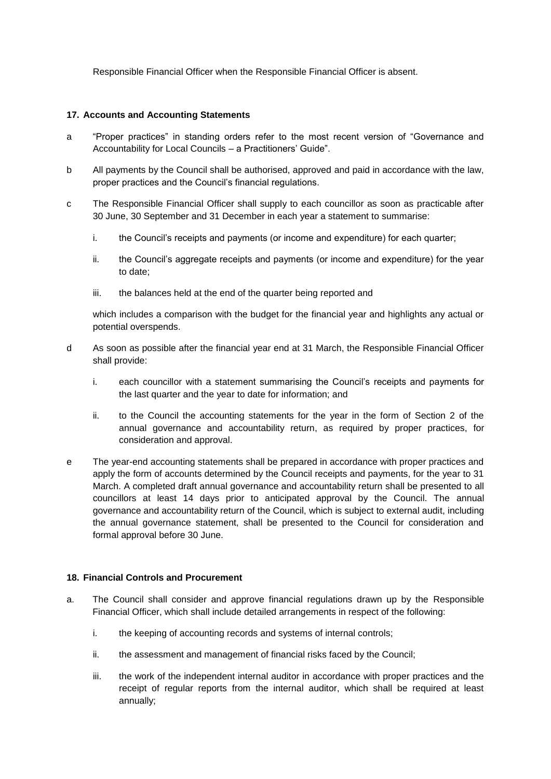Responsible Financial Officer when the Responsible Financial Officer is absent.

### **17. Accounts and Accounting Statements**

- a "Proper practices" in standing orders refer to the most recent version of "Governance and Accountability for Local Councils – a Practitioners' Guide".
- b All payments by the Council shall be authorised, approved and paid in accordance with the law, proper practices and the Council's financial regulations.
- c The Responsible Financial Officer shall supply to each councillor as soon as practicable after 30 June, 30 September and 31 December in each year a statement to summarise:
	- i. the Council's receipts and payments (or income and expenditure) for each quarter;
	- ii. the Council's aggregate receipts and payments (or income and expenditure) for the year to date;
	- iii. the balances held at the end of the quarter being reported and

which includes a comparison with the budget for the financial year and highlights any actual or potential overspends.

- d As soon as possible after the financial year end at 31 March, the Responsible Financial Officer shall provide:
	- i. each councillor with a statement summarising the Council's receipts and payments for the last quarter and the year to date for information; and
	- ii. to the Council the accounting statements for the year in the form of Section 2 of the annual governance and accountability return, as required by proper practices, for consideration and approval.
- e The year-end accounting statements shall be prepared in accordance with proper practices and apply the form of accounts determined by the Council receipts and payments, for the year to 31 March. A completed draft annual governance and accountability return shall be presented to all councillors at least 14 days prior to anticipated approval by the Council. The annual governance and accountability return of the Council, which is subject to external audit, including the annual governance statement, shall be presented to the Council for consideration and formal approval before 30 June.

# **18. Financial Controls and Procurement**

- a. The Council shall consider and approve financial regulations drawn up by the Responsible Financial Officer, which shall include detailed arrangements in respect of the following:
	- i. the keeping of accounting records and systems of internal controls;
	- ii. the assessment and management of financial risks faced by the Council;
	- iii. the work of the independent internal auditor in accordance with proper practices and the receipt of regular reports from the internal auditor, which shall be required at least annually;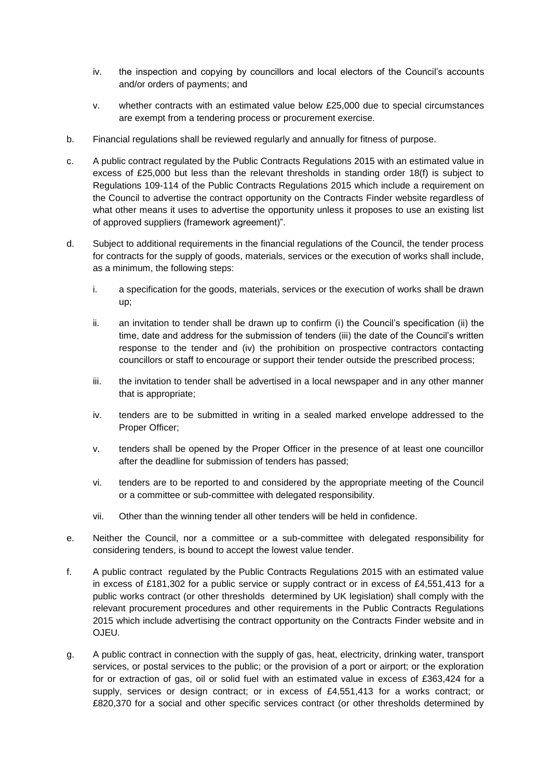- iv. the inspection and copying by councillors and local electors of the Council's accounts and/or orders of payments; and
- v. whether contracts with an estimated value below £25,000 due to special circumstances are exempt from a tendering process or procurement exercise.
- b. Financial regulations shall be reviewed regularly and annually for fitness of purpose.
- c. A public contract regulated by the Public Contracts Regulations 2015 with an estimated value in excess of £25,000 but less than the relevant thresholds in standing order 18(f) is subject to Regulations 109-114 of the Public Contracts Regulations 2015 which include a requirement on the Council to advertise the contract opportunity on the Contracts Finder website regardless of what other means it uses to advertise the opportunity unless it proposes to use an existing list of approved suppliers (framework agreement)".
- d. Subject to additional requirements in the financial regulations of the Council, the tender process for contracts for the supply of goods, materials, services or the execution of works shall include, as a minimum, the following steps:
	- i. a specification for the goods, materials, services or the execution of works shall be drawn up;
	- ii. an invitation to tender shall be drawn up to confirm (i) the Council's specification (ii) the time, date and address for the submission of tenders (iii) the date of the Council's written response to the tender and (iv) the prohibition on prospective contractors contacting councillors or staff to encourage or support their tender outside the prescribed process;
	- iii. the invitation to tender shall be advertised in a local newspaper and in any other manner that is appropriate;
	- iv. tenders are to be submitted in writing in a sealed marked envelope addressed to the Proper Officer;
	- v. tenders shall be opened by the Proper Officer in the presence of at least one councillor after the deadline for submission of tenders has passed;
	- vi. tenders are to be reported to and considered by the appropriate meeting of the Council or a committee or sub-committee with delegated responsibility.
	- vii. Other than the winning tender all other tenders will be held in confidence.
- e. Neither the Council, nor a committee or a sub-committee with delegated responsibility for considering tenders, is bound to accept the lowest value tender.
- f. A public contract regulated by the Public Contracts Regulations 2015 with an estimated value in excess of £181,302 for a public service or supply contract or in excess of £4,551,413 for a public works contract (or other thresholds determined by UK legislation) shall comply with the relevant procurement procedures and other requirements in the Public Contracts Regulations 2015 which include advertising the contract opportunity on the Contracts Finder website and in OJEU.
- g. A public contract in connection with the supply of gas, heat, electricity, drinking water, transport services, or postal services to the public; or the provision of a port or airport; or the exploration for or extraction of gas, oil or solid fuel with an estimated value in excess of £363,424 for a supply, services or design contract; or in excess of £4,551,413 for a works contract; or £820,370 for a social and other specific services contract (or other thresholds determined by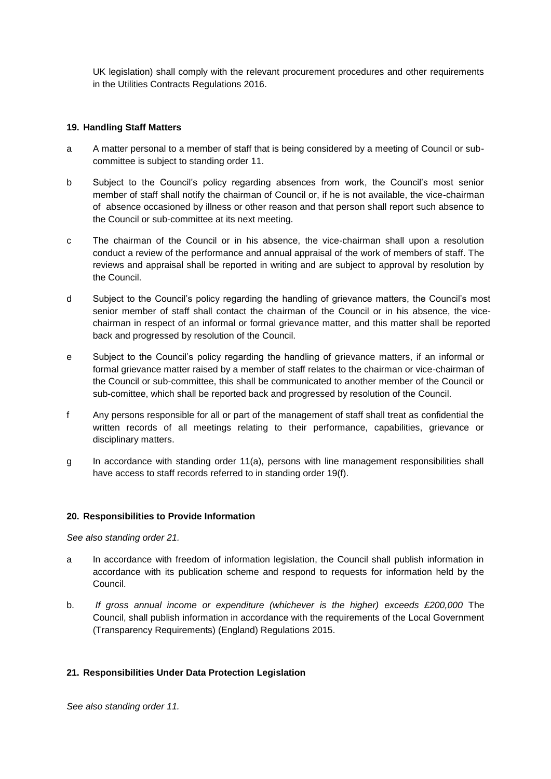UK legislation) shall comply with the relevant procurement procedures and other requirements in the Utilities Contracts Regulations 2016.

# **19. Handling Staff Matters**

- a A matter personal to a member of staff that is being considered by a meeting of Council or subcommittee is subject to standing order 11.
- b Subject to the Council's policy regarding absences from work, the Council's most senior member of staff shall notify the chairman of Council or, if he is not available, the vice-chairman of absence occasioned by illness or other reason and that person shall report such absence to the Council or sub-committee at its next meeting.
- c The chairman of the Council or in his absence, the vice-chairman shall upon a resolution conduct a review of the performance and annual appraisal of the work of members of staff. The reviews and appraisal shall be reported in writing and are subject to approval by resolution by the Council.
- d Subject to the Council's policy regarding the handling of grievance matters, the Council's most senior member of staff shall contact the chairman of the Council or in his absence, the vicechairman in respect of an informal or formal grievance matter, and this matter shall be reported back and progressed by resolution of the Council.
- e Subject to the Council's policy regarding the handling of grievance matters, if an informal or formal grievance matter raised by a member of staff relates to the chairman or vice-chairman of the Council or sub-committee, this shall be communicated to another member of the Council or sub-comittee, which shall be reported back and progressed by resolution of the Council.
- f Any persons responsible for all or part of the management of staff shall treat as confidential the written records of all meetings relating to their performance, capabilities, grievance or disciplinary matters.
- g In accordance with standing order 11(a), persons with line management responsibilities shall have access to staff records referred to in standing order 19(f).

#### **20. Responsibilities to Provide Information**

*See also standing order 21.*

- a In accordance with freedom of information legislation, the Council shall publish information in accordance with its publication scheme and respond to requests for information held by the Council.
- b. *If gross annual income or expenditure (whichever is the higher) exceeds £200,000* The Council, shall publish information in accordance with the requirements of the Local Government (Transparency Requirements) (England) Regulations 2015.

# **21. Responsibilities Under Data Protection Legislation**

*See also standing order 11.*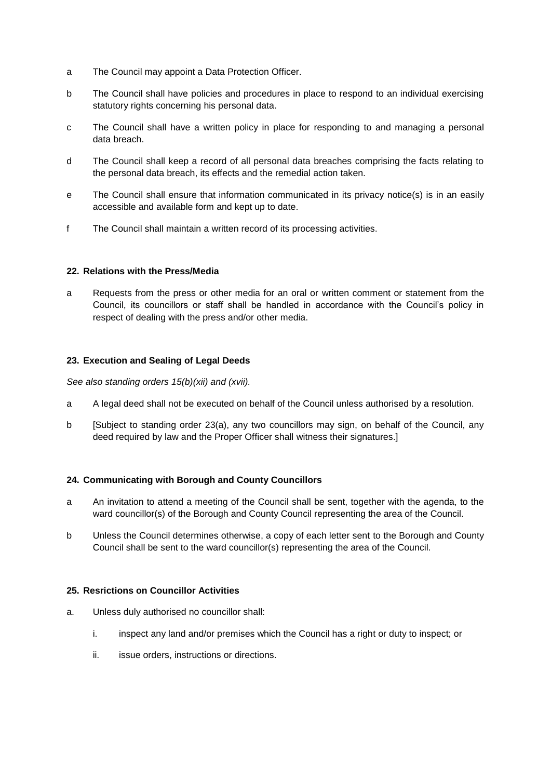- a The Council may appoint a Data Protection Officer.
- b The Council shall have policies and procedures in place to respond to an individual exercising statutory rights concerning his personal data.
- c The Council shall have a written policy in place for responding to and managing a personal data breach.
- d The Council shall keep a record of all personal data breaches comprising the facts relating to the personal data breach, its effects and the remedial action taken.
- e The Council shall ensure that information communicated in its privacy notice(s) is in an easily accessible and available form and kept up to date.
- f The Council shall maintain a written record of its processing activities.

## **22. Relations with the Press/Media**

a Requests from the press or other media for an oral or written comment or statement from the Council, its councillors or staff shall be handled in accordance with the Council's policy in respect of dealing with the press and/or other media.

## **23. Execution and Sealing of Legal Deeds**

*See also standing orders 15(b)(xii) and (xvii).*

- a A legal deed shall not be executed on behalf of the Council unless authorised by a resolution.
- b [Subject to standing order 23(a), any two councillors may sign, on behalf of the Council, any deed required by law and the Proper Officer shall witness their signatures.]

# **24. Communicating with Borough and County Councillors**

- a An invitation to attend a meeting of the Council shall be sent, together with the agenda, to the ward councillor(s) of the Borough and County Council representing the area of the Council.
- b Unless the Council determines otherwise, a copy of each letter sent to the Borough and County Council shall be sent to the ward councillor(s) representing the area of the Council.

#### **25. Resrictions on Councillor Activities**

- a. Unless duly authorised no councillor shall:
	- i. inspect any land and/or premises which the Council has a right or duty to inspect; or
	- ii. issue orders, instructions or directions.